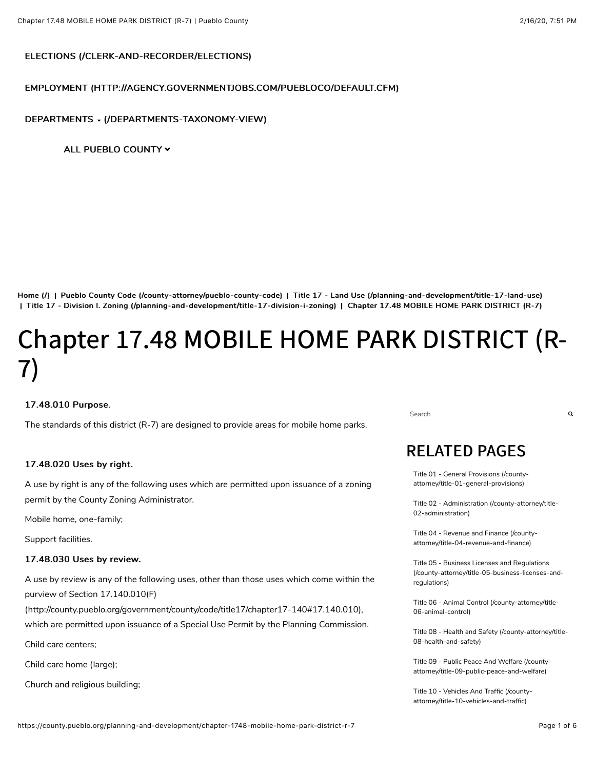#### [ELECTIONS \(/CLERK-AND-RECORDER/ELECTIONS\) \(/CLERK-AND-RECORDER/ELECTIONS\)](https://county.pueblo.org/clerk-and-recorder/elections)

#### [EMPLOYMENT \(HTTP://AGENCY.GOVERNMENTJOBS.COM/PUEBLOCO/DEFAULT.CFM\) \(HTTP://AGENCY.GOVERNMENTJOBS.COM/PUEBLOCO/DEFAULT.CFM\)](http://agency.governmentjobs.com/puebloco/default.cfm)

#### DEPARTMENTS - (/DEPARTMENTS-TAXONOMY-VIEW)

ALL PUEBLO COUNTY Y

[Home \(/\)](https://county.pueblo.org/) | Pueblo County Code (/county-attorney/pueblo-county-code) | Title 17 - Land Use (/planning-and-development/title-17-land-use) | Title 17 - Division I. Zoning (/planning-and-development/title-17-division-i-zoning) | Chapter 17.48 MOBILE HOME PARK DISTRICT (R-7)

# Chapter 17.48 MOBILE HOME PARK DISTRICT (R-7)

#### 17.48.010 Purpose. 17.48.010

The standards of this district (R-7) are designed to provide areas for mobile home parks.

#### 17.48.020 Uses by right.

A use by right is any of the following uses which are permitted upon issuance of a zoning permit by the County Zoning Administrator.

Mobile home, one-family;

Support facilities.

#### 17.48.030 Uses by review. 17.48.030 by review.

A use by review is any of the following uses, other than those uses which come within the purview of Section 17.140.010(F)

[\(http://county.pueblo.org/government/county/code/title17/chapter17-140#17.140.010\),](http://county.pueblo.org/government/county/code/title17/chapter17-140#17.140.010)

which are permitted upon issuance of a Special Use Permit by the Planning Commission.

Child care centers;

Child care home (large);

Church and religious building;

Search **Q** 

## **RELATED PAGES**

[Title 01 - General Provisions \(/county](https://county.pueblo.org/county-attorney/title-01-general-provisions)attorney/title-01-general-provisions)

[Title 02 - Administration \(/county-attorney/title-](https://county.pueblo.org/county-attorney/title-02-administration)02-administration)

[Title 04 - Revenue and Finance \(/county](https://county.pueblo.org/county-attorney/title-04-revenue-and-finance)attorney/title-04-revenue-and-finance)

Title 05 - Business Licenses and Regulations [\(/county-attorney/title-05-business-licenses-and](https://county.pueblo.org/county-attorney/title-05-business-licenses-and-regulations)regulations)

[Title 06 - Animal Control \(/county-attorney/title-](https://county.pueblo.org/county-attorney/title-06-animal-control)06-animal-control)

[Title 08 - Health and Safety \(/county-attorney/title-](https://county.pueblo.org/county-attorney/title-08-health-and-safety)08-health-and-safety)

[Title 09 - Public Peace And Welfare \(/county](https://county.pueblo.org/county-attorney/title-09-public-peace-and-welfare)attorney/title-09-public-peace-and-welfare)

[Title 10 - Vehicles And Traffic \(/county](https://county.pueblo.org/county-attorney/title-10-vehicles-and-traffic)attorney/title-10-vehicles-and-traffic)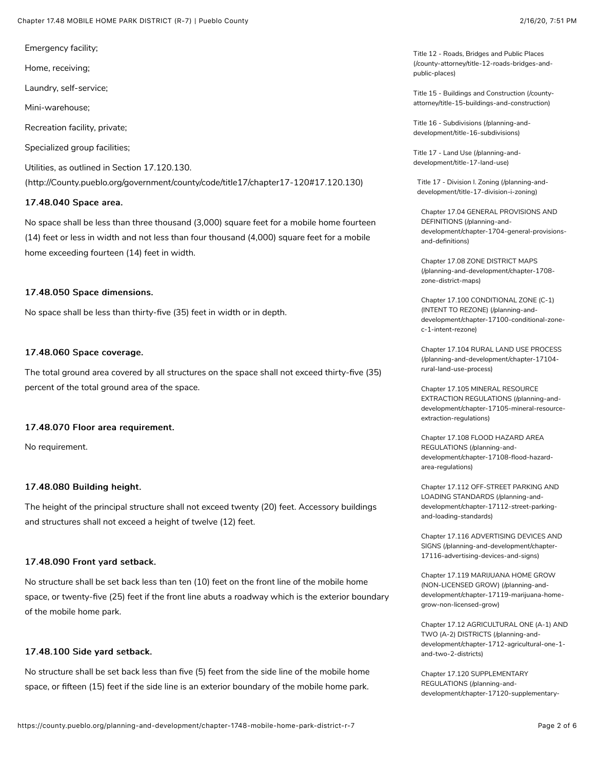Emergency facility;

Home, receiving;

Laundry, self-service;

Mini-warehouse;

Recreation facility, private;

Specialized group facilities;

Utilities, as outlined in Section 17.120.130.

[\(http://County.pueblo.org/government/county/code/title17/chapter17-120#17.120.130\)](http://county.pueblo.org/government/county/code/title17/chapter17-120#17.120.130)

#### 17.48.040 Space area.

No space shall be less than three thousand (3,000) square feet for a mobile home fourteen (14) feet or less in width and not less than four thousand (4,000) square feet for a mobile home exceeding fourteen (14) feet in width.

#### 17.48.050 Space dimensions.

No space shall be less than thirty-five (35) feet in width or in depth.

#### 17.48.060 Space coverage.

The total ground area covered by all structures on the space shall not exceed thirty-five (35) percent of the total ground area of the space.

#### 17.48.070 Floor area requirement. 17.48.070 Floor area requirement.

No requirement.

#### 17.48.080 Building height.

The height of the principal structure shall not exceed twenty (20) feet. Accessory buildings and structures shall not exceed a height of twelve (12) feet.

#### 17.48.090 Front yard setback.

No structure shall be set back less than ten (10) feet on the front line of the mobile home space, or twenty-five (25) feet if the front line abuts a roadway which is the exterior boundary of the mobile home park.

#### 17.48.100 Side yard setback.

No structure shall be set back less than five (5) feet from the side line of the mobile home space, or fifteen (15) feet if the side line is an exterior boundary of the mobile home park.

Title 12 - Roads, Bridges and Public Places [\(/county-attorney/title-12-roads-bridges-and](https://county.pueblo.org/county-attorney/title-12-roads-bridges-and-public-places)public-places)

[Title 15 - Buildings and Construction \(/county](https://county.pueblo.org/county-attorney/title-15-buildings-and-construction)attorney/title-15-buildings-and-construction)

[Title 16 - Subdivisions \(/planning-and](https://county.pueblo.org/planning-and-development/title-16-subdivisions)development/title-16-subdivisions)

[Title 17 - Land Use \(/planning-and](https://county.pueblo.org/planning-and-development/title-17-land-use)development/title-17-land-use)

[Title 17 - Division I. Zoning \(/planning-and](https://county.pueblo.org/planning-and-development/title-17-division-i-zoning)development/title-17-division-i-zoning)

Chapter 17.04 GENERAL PROVISIONS AND DEFINITIONS (/planning-and[development/chapter-1704-general-provisions](https://county.pueblo.org/planning-and-development/chapter-1704-general-provisions-and-definitions)and-definitions)

Chapter 17.08 ZONE DISTRICT MAPS [\(/planning-and-development/chapter-1708](https://county.pueblo.org/planning-and-development/chapter-1708-zone-district-maps) zone-district-maps)

Chapter 17.100 CONDITIONAL ZONE (C-1) (INTENT TO REZONE) (/planning-and[development/chapter-17100-conditional-zone](https://county.pueblo.org/planning-and-development/chapter-17100-conditional-zone-c-1-intent-rezone)c-1-intent-rezone)

[Chapter 17.104 RURAL LAND USE PROCESS](https://county.pueblo.org/planning-and-development/chapter-17104-rural-land-use-process) (/planning-and-development/chapter-17104 rural-land-use-process)

Chapter 17.105 MINERAL RESOURCE EXTRACTION REGULATIONS (/planning-and[development/chapter-17105-mineral-resource](https://county.pueblo.org/planning-and-development/chapter-17105-mineral-resource-extraction-regulations)extraction-regulations)

Chapter 17.108 FLOOD HAZARD AREA REGULATIONS (/planning-and[development/chapter-17108-flood-hazard](https://county.pueblo.org/planning-and-development/chapter-17108-flood-hazard-area-regulations)area-regulations)

[Chapter 17.112 OFF-STREET PARKING AND](https://county.pueblo.org/planning-and-development/chapter-17112-street-parking-and-loading-standards) LOADING STANDARDS (/planning-anddevelopment/chapter-17112-street-parkingand-loading-standards)

[Chapter 17.116 ADVERTISING DEVICES AND](https://county.pueblo.org/planning-and-development/chapter-17116-advertising-devices-and-signs) SIGNS (/planning-and-development/chapter-17116-advertising-devices-and-signs)

Chapter 17.119 MARIJUANA HOME GROW (NON-LICENSED GROW) (/planning-and[development/chapter-17119-marijuana-home](https://county.pueblo.org/planning-and-development/chapter-17119-marijuana-home-grow-non-licensed-grow)grow-non-licensed-grow)

[Chapter 17.12 AGRICULTURAL ONE \(A-1\) AND](https://county.pueblo.org/planning-and-development/chapter-1712-agricultural-one-1-and-two-2-districts) TWO (A-2) DISTRICTS (/planning-anddevelopment/chapter-1712-agricultural-one-1 and-two-2-districts)

Chapter 17.120 SUPPLEMENTARY REGULATIONS (/planning-and[development/chapter-17120-supplementary-](https://county.pueblo.org/planning-and-development/chapter-17120-supplementary-regulations)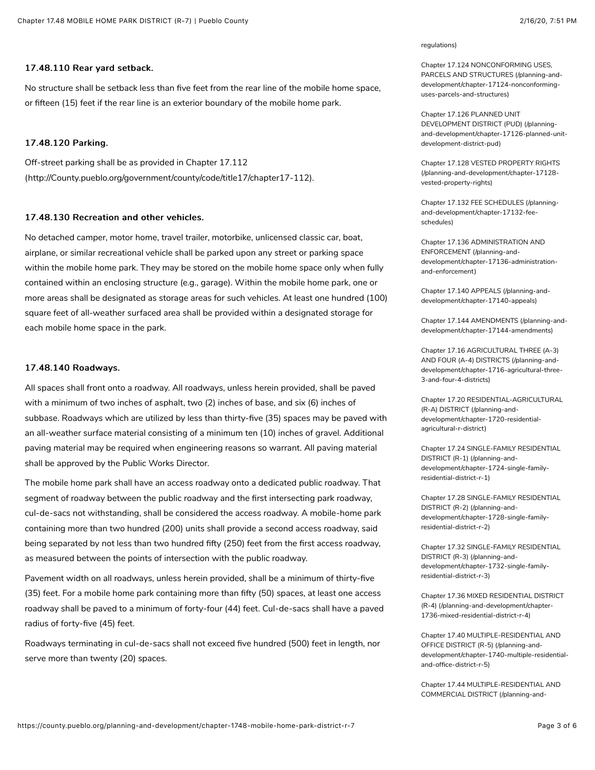No structure shall be setback less than five feet from the rear line of the mobile home space, or fifteen (15) feet if the rear line is an exterior boundary of the mobile home park.

#### 17.48.120 Parking.

Off-street parking shall be as provided in Chapter 17.112 [\(http://County.pueblo.org/government/county/code/title17/chapter17-112\)](http://county.pueblo.org/government/county/code/title17/chapter17-112).

#### 17.48.130 Recreation and other vehicles. 17.48.130 Recreation other vehicles.

No detached camper, motor home, travel trailer, motorbike, unlicensed classic car, boat, airplane, or similar recreational vehicle shall be parked upon any street or parking space within the mobile home park. They may be stored on the mobile home space only when fully contained within an enclosing structure (e.g., garage). Within the mobile home park, one or more areas shall be designated as storage areas for such vehicles. At least one hundred (100) square feet of all-weather surfaced area shall be provided within a designated storage for each mobile home space in the park.

#### 17.48.140 Roadways. 17.48.140 Roadways.

All spaces shall front onto a roadway. All roadways, unless herein provided, shall be paved with a minimum of two inches of asphalt, two (2) inches of base, and six (6) inches of subbase. Roadways which are utilized by less than thirty-five (35) spaces may be paved with an all-weather surface material consisting of a minimum ten (10) inches of gravel. Additional paving material may be required when engineering reasons so warrant. All paving material shall be approved by the Public Works Director.

The mobile home park shall have an access roadway onto a dedicated public roadway. That segment of roadway between the public roadway and the first intersecting park roadway, cul-de-sacs not withstanding, shall be considered the access roadway. A mobile-home park containing more than two hundred (200) units shall provide a second access roadway, said being separated by not less than two hundred fifty (250) feet from the first access roadway, as measured between the points of intersection with the public roadway.

Pavement width on all roadways, unless herein provided, shall be a minimum of thirty-five (35) feet. For a mobile home park containing more than fifty (50) spaces, at least one access roadway shall be paved to a minimum of forty-four (44) feet. Cul-de-sacs shall have a paved radius of forty-five (45) feet.

Roadways terminating in cul-de-sacs shall not exceed five hundred (500) feet in length, nor serve more than twenty (20) spaces.

#### [regulations\)](https://county.pueblo.org/planning-and-development/chapter-17120-supplementary-regulations)

Chapter 17.124 NONCONFORMING USES, [PARCELS AND STRUCTURES \(/planning-and](https://county.pueblo.org/planning-and-development/chapter-17124-nonconforming-uses-parcels-and-structures)development/chapter-17124-nonconforminguses-parcels-and-structures)

Chapter 17.126 PLANNED UNIT DEVELOPMENT DISTRICT (PUD) (/planning[and-development/chapter-17126-planned-unit](https://county.pueblo.org/planning-and-development/chapter-17126-planned-unit-development-district-pud)development-district-pud)

[Chapter 17.128 VESTED PROPERTY RIGHTS](https://county.pueblo.org/planning-and-development/chapter-17128-vested-property-rights) (/planning-and-development/chapter-17128 vested-property-rights)

[Chapter 17.132 FEE SCHEDULES \(/planning](https://county.pueblo.org/planning-and-development/chapter-17132-fee-schedules)and-development/chapter-17132-feeschedules)

Chapter 17.136 ADMINISTRATION AND ENFORCEMENT (/planning-and[development/chapter-17136-administration](https://county.pueblo.org/planning-and-development/chapter-17136-administration-and-enforcement)and-enforcement)

[Chapter 17.140 APPEALS \(/planning-and](https://county.pueblo.org/planning-and-development/chapter-17140-appeals)development/chapter-17140-appeals)

[Chapter 17.144 AMENDMENTS \(/planning-and](https://county.pueblo.org/planning-and-development/chapter-17144-amendments)development/chapter-17144-amendments)

Chapter 17.16 AGRICULTURAL THREE (A-3) AND FOUR (A-4) DISTRICTS (/planning-and[development/chapter-1716-agricultural-three-](https://county.pueblo.org/planning-and-development/chapter-1716-agricultural-three-3-and-four-4-districts)3-and-four-4-districts)

[Chapter 17.20 RESIDENTIAL-AGRICULTURAL](https://county.pueblo.org/planning-and-development/chapter-1720-residential-agricultural-r-district) (R-A) DISTRICT (/planning-anddevelopment/chapter-1720-residentialagricultural-r-district)

[Chapter 17.24 SINGLE-FAMILY RESIDENTIAL](https://county.pueblo.org/planning-and-development/chapter-1724-single-family-residential-district-r-1) DISTRICT (R-1) (/planning-anddevelopment/chapter-1724-single-familyresidential-district-r-1)

[Chapter 17.28 SINGLE-FAMILY RESIDENTIAL](https://county.pueblo.org/planning-and-development/chapter-1728-single-family-residential-district-r-2) DISTRICT (R-2) (/planning-anddevelopment/chapter-1728-single-familyresidential-district-r-2)

[Chapter 17.32 SINGLE-FAMILY RESIDENTIAL](https://county.pueblo.org/planning-and-development/chapter-1732-single-family-residential-district-r-3) DISTRICT (R-3) (/planning-anddevelopment/chapter-1732-single-familyresidential-district-r-3)

[Chapter 17.36 MIXED RESIDENTIAL DISTRICT](https://county.pueblo.org/planning-and-development/chapter-1736-mixed-residential-district-r-4) (R-4) (/planning-and-development/chapter-1736-mixed-residential-district-r-4)

Chapter 17.40 MULTIPLE-RESIDENTIAL AND OFFICE DISTRICT (R-5) (/planning-and[development/chapter-1740-multiple-residential](https://county.pueblo.org/planning-and-development/chapter-1740-multiple-residential-and-office-district-r-5)and-office-district-r-5)

[Chapter 17.44 MULTIPLE-RESIDENTIAL AND](https://county.pueblo.org/planning-and-development/chapter-1744-multiple-residential-and-commercial-district) COMMERCIAL DISTRICT (/planning-and-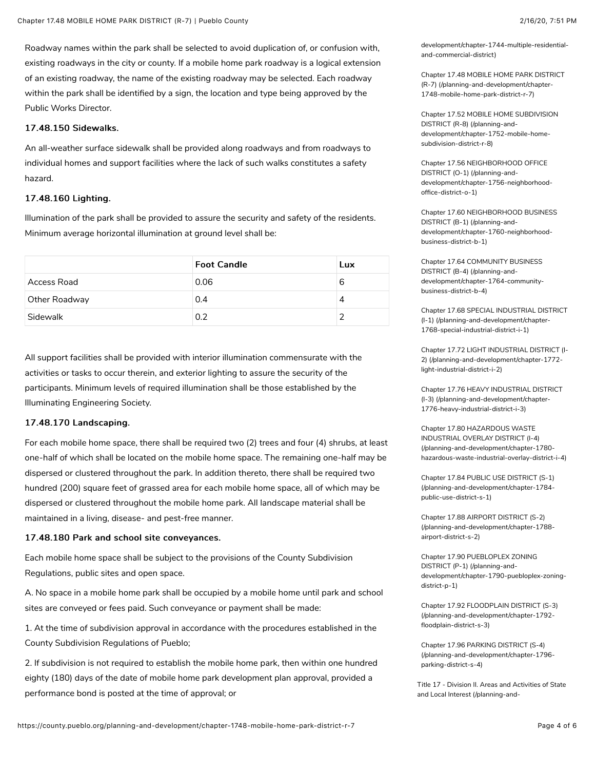Roadway names within the park shall be selected to avoid duplication of, or confusion with, existing roadways in the city or county. If a mobile home park roadway is a logical extension of an existing roadway, the name of the existing roadway may be selected. Each roadway within the park shall be identified by a sign, the location and type being approved by the Public Works Director.

#### 17.48.150 Sidewalks. 17.48.150

An all-weather surface sidewalk shall be provided along roadways and from roadways to individual homes and support facilities where the lack of such walks constitutes a safety hazard.

#### 17.48.160 Lighting. 17.48.160

Illumination of the park shall be provided to assure the security and safety of the residents. Minimum average horizontal illumination at ground level shall be:

|               | <b>Foot Candle</b> | Lux |
|---------------|--------------------|-----|
| Access Road   | 0.06               | 6   |
| Other Roadway | 0.4                |     |
| Sidewalk      | 0.2                |     |

All support facilities shall be provided with interior illumination commensurate with the activities or tasks to occur therein, and exterior lighting to assure the security of the participants. Minimum levels of required illumination shall be those established by the Illuminating Engineering Society.

#### 17.48.170 Landscaping. 17.48.170 Landscaping.

For each mobile home space, there shall be required two (2) trees and four (4) shrubs, at least one-half of which shall be located on the mobile home space. The remaining one-half may be dispersed or clustered throughout the park. In addition thereto, there shall be required two hundred (200) square feet of grassed area for each mobile home space, all of which may be dispersed or clustered throughout the mobile home park. All landscape material shall be maintained in a living, disease- and pest-free manner.

#### 17.48.180 Park and school site conveyances.

Each mobile home space shall be subject to the provisions of the County Subdivision Regulations, public sites and open space.

A. No space in a mobile home park shall be occupied by a mobile home until park and school sites are conveyed or fees paid. Such conveyance or payment shall be made:

1. At the time of subdivision approval in accordance with the procedures established in the County Subdivision Regulations of Pueblo;

2. If subdivision is not required to establish the mobile home park, then within one hundred eighty (180) days of the date of mobile home park development plan approval, provided a performance bond is posted at the time of approval; or

[development/chapter-1744-multiple-residential](https://county.pueblo.org/planning-and-development/chapter-1744-multiple-residential-and-commercial-district)and-commercial-district)

[Chapter 17.48 MOBILE HOME PARK DISTRICT](https://county.pueblo.org/planning-and-development/chapter-1748-mobile-home-park-district-r-7) (R-7) (/planning-and-development/chapter-1748-mobile-home-park-district-r-7)

[Chapter 17.52 MOBILE HOME SUBDIVISION](https://county.pueblo.org/planning-and-development/chapter-1752-mobile-home-subdivision-district-r-8) DISTRICT (R-8) (/planning-anddevelopment/chapter-1752-mobile-homesubdivision-district-r-8)

Chapter 17.56 NEIGHBORHOOD OFFICE DISTRICT (O-1) (/planning-and[development/chapter-1756-neighborhood](https://county.pueblo.org/planning-and-development/chapter-1756-neighborhood-office-district-o-1)office-district-o-1)

[Chapter 17.60 NEIGHBORHOOD BUSINESS](https://county.pueblo.org/planning-and-development/chapter-1760-neighborhood-business-district-b-1) DISTRICT (B-1) (/planning-anddevelopment/chapter-1760-neighborhoodbusiness-district-b-1)

Chapter 17.64 COMMUNITY BUSINESS DISTRICT (B-4) (/planning-and[development/chapter-1764-community](https://county.pueblo.org/planning-and-development/chapter-1764-community-business-district-b-4)business-district-b-4)

[Chapter 17.68 SPECIAL INDUSTRIAL DISTRICT](https://county.pueblo.org/planning-and-development/chapter-1768-special-industrial-district-i-1) (I-1) (/planning-and-development/chapter-1768-special-industrial-district-i-1)

[Chapter 17.72 LIGHT INDUSTRIAL DISTRICT \(I-](https://county.pueblo.org/planning-and-development/chapter-1772-light-industrial-district-i-2)2) (/planning-and-development/chapter-1772 light-industrial-district-i-2)

[Chapter 17.76 HEAVY INDUSTRIAL DISTRICT](https://county.pueblo.org/planning-and-development/chapter-1776-heavy-industrial-district-i-3) (I-3) (/planning-and-development/chapter-1776-heavy-industrial-district-i-3)

Chapter 17.80 HAZARDOUS WASTE INDUSTRIAL OVERLAY DISTRICT (I-4) (/planning-and-development/chapter-1780 [hazardous-waste-industrial-overlay-district-i-4\)](https://county.pueblo.org/planning-and-development/chapter-1780-hazardous-waste-industrial-overlay-district-i-4)

Chapter 17.84 PUBLIC USE DISTRICT (S-1) [\(/planning-and-development/chapter-1784](https://county.pueblo.org/planning-and-development/chapter-1784-public-use-district-s-1) public-use-district-s-1)

Chapter 17.88 AIRPORT DISTRICT (S-2) [\(/planning-and-development/chapter-1788](https://county.pueblo.org/planning-and-development/chapter-1788-airport-district-s-2) airport-district-s-2)

Chapter 17.90 PUEBLOPLEX ZONING DISTRICT (P-1) (/planning-and[development/chapter-1790-puebloplex-zoning](https://county.pueblo.org/planning-and-development/chapter-1790-puebloplex-zoning-district-p-1)district-p-1)

[Chapter 17.92 FLOODPLAIN DISTRICT \(S-3\)](https://county.pueblo.org/planning-and-development/chapter-1792-floodplain-district-s-3) (/planning-and-development/chapter-1792 floodplain-district-s-3)

Chapter 17.96 PARKING DISTRICT (S-4) [\(/planning-and-development/chapter-1796](https://county.pueblo.org/planning-and-development/chapter-1796-parking-district-s-4) parking-district-s-4)

[Title 17 - Division II. Areas and Activities of State](https://county.pueblo.org/planning-and-development/title-17-division-ii-areas-and-activities-state-and-local-interest) and Local Interest (/planning-and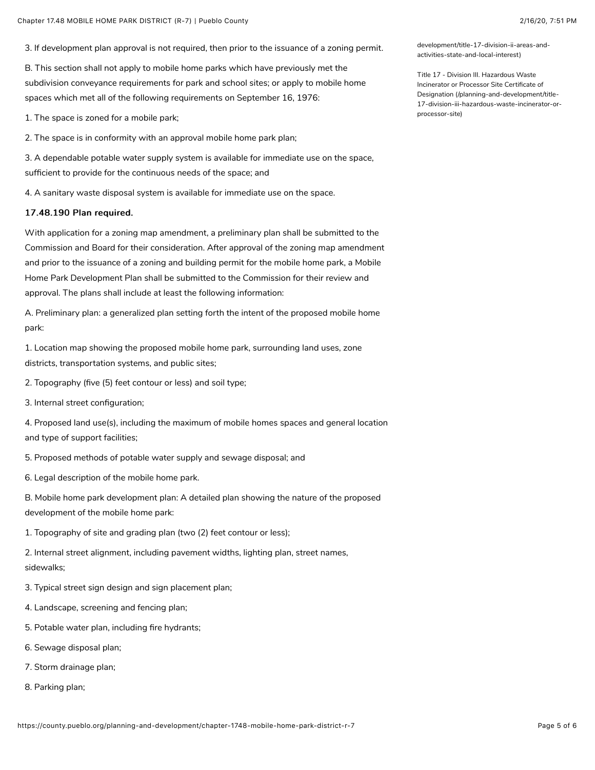3. If development plan approval is not required, then prior to the issuance of a zoning permit.

B. This section shall not apply to mobile home parks which have previously met the subdivision conveyance requirements for park and school sites; or apply to mobile home spaces which met all of the following requirements on September 16, 1976:

1. The space is zoned for a mobile park;

2. The space is in conformity with an approval mobile home park plan;

3. A dependable potable water supply system is available for immediate use on the space, sufficient to provide for the continuous needs of the space; and

4. A sanitary waste disposal system is available for immediate use on the space.

#### 17.48.190 Plan required.

With application for a zoning map amendment, a preliminary plan shall be submitted to the Commission and Board for their consideration. After approval of the zoning map amendment and prior to the issuance of a zoning and building permit for the mobile home park, a Mobile Home Park Development Plan shall be submitted to the Commission for their review and approval. The plans shall include at least the following information:

A. Preliminary plan: a generalized plan setting forth the intent of the proposed mobile home park:

1. Location map showing the proposed mobile home park, surrounding land uses, zone districts, transportation systems, and public sites;

2. Topography (five (5) feet contour or less) and soil type;

3. Internal street configuration;

4. Proposed land use(s), including the maximum of mobile homes spaces and general location and type of support facilities;

5. Proposed methods of potable water supply and sewage disposal; and

6. Legal description of the mobile home park.

B. Mobile home park development plan: A detailed plan showing the nature of the proposed development of the mobile home park:

1. Topography of site and grading plan (two (2) feet contour or less);

2. Internal street alignment, including pavement widths, lighting plan, street names, sidewalks;

3. Typical street sign design and sign placement plan;

4. Landscape, screening and fencing plan;

5. Potable water plan, including fire hydrants;

6. Sewage disposal plan;

7. Storm drainage plan;

8. Parking plan;

[development/title-17-division-ii-areas-and](https://county.pueblo.org/planning-and-development/title-17-division-ii-areas-and-activities-state-and-local-interest)activities-state-and-local-interest)

Title 17 - Division III. Hazardous Waste Incinerator or Processor Site Certificate of Designation (/planning-and-development/title-[17-division-iii-hazardous-waste-incinerator-or](https://county.pueblo.org/planning-and-development/title-17-division-iii-hazardous-waste-incinerator-or-processor-site)processor-site)